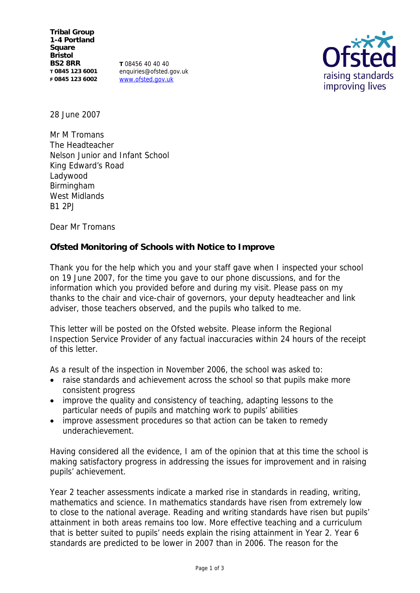**Tribal Group 1-4 Portland Square Bristol BS2 8RR T 0845 123 6001 F 0845 123 6002**

**T** 08456 40 40 40 enquiries@ofsted.gov.uk www.ofsted.gov.uk



28 June 2007

Mr M Tromans The Headteacher Nelson Junior and Infant School King Edward's Road Ladywood Birmingham West Midlands B1 2PJ

Dear Mr Tromans

**Ofsted Monitoring of Schools with Notice to Improve**

Thank you for the help which you and your staff gave when I inspected your school on 19 June 2007, for the time you gave to our phone discussions, and for the information which you provided before and during my visit. Please pass on my thanks to the chair and vice-chair of governors, your deputy headteacher and link adviser, those teachers observed, and the pupils who talked to me.

This letter will be posted on the Ofsted website. Please inform the Regional Inspection Service Provider of any factual inaccuracies within 24 hours of the receipt of this letter.

As a result of the inspection in November 2006, the school was asked to:

- raise standards and achievement across the school so that pupils make more consistent progress
- improve the quality and consistency of teaching, adapting lessons to the particular needs of pupils and matching work to pupils' abilities
- improve assessment procedures so that action can be taken to remedy underachievement.

Having considered all the evidence, I am of the opinion that at this time the school is making satisfactory progress in addressing the issues for improvement and in raising pupils' achievement.

Year 2 teacher assessments indicate a marked rise in standards in reading, writing, mathematics and science. In mathematics standards have risen from extremely low to close to the national average. Reading and writing standards have risen but pupils' attainment in both areas remains too low. More effective teaching and a curriculum that is better suited to pupils' needs explain the rising attainment in Year 2. Year 6 standards are predicted to be lower in 2007 than in 2006. The reason for the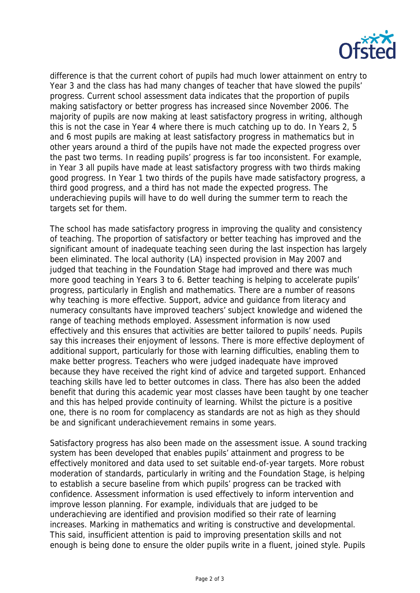

difference is that the current cohort of pupils had much lower attainment on entry to Year 3 and the class has had many changes of teacher that have slowed the pupils' progress. Current school assessment data indicates that the proportion of pupils making satisfactory or better progress has increased since November 2006. The majority of pupils are now making at least satisfactory progress in writing, although this is not the case in Year 4 where there is much catching up to do. In Years 2, 5 and 6 most pupils are making at least satisfactory progress in mathematics but in other years around a third of the pupils have not made the expected progress over the past two terms. In reading pupils' progress is far too inconsistent. For example, in Year 3 all pupils have made at least satisfactory progress with two thirds making good progress. In Year 1 two thirds of the pupils have made satisfactory progress, a third good progress, and a third has not made the expected progress. The underachieving pupils will have to do well during the summer term to reach the targets set for them.

The school has made satisfactory progress in improving the quality and consistency of teaching. The proportion of satisfactory or better teaching has improved and the significant amount of inadequate teaching seen during the last inspection has largely been eliminated. The local authority (LA) inspected provision in May 2007 and judged that teaching in the Foundation Stage had improved and there was much more good teaching in Years 3 to 6. Better teaching is helping to accelerate pupils' progress, particularly in English and mathematics. There are a number of reasons why teaching is more effective. Support, advice and guidance from literacy and numeracy consultants have improved teachers' subject knowledge and widened the range of teaching methods employed. Assessment information is now used effectively and this ensures that activities are better tailored to pupils' needs. Pupils say this increases their enjoyment of lessons. There is more effective deployment of additional support, particularly for those with learning difficulties, enabling them to make better progress. Teachers who were judged inadequate have improved because they have received the right kind of advice and targeted support. Enhanced teaching skills have led to better outcomes in class. There has also been the added benefit that during this academic year most classes have been taught by one teacher and this has helped provide continuity of learning. Whilst the picture is a positive one, there is no room for complacency as standards are not as high as they should be and significant underachievement remains in some years.

Satisfactory progress has also been made on the assessment issue. A sound tracking system has been developed that enables pupils' attainment and progress to be effectively monitored and data used to set suitable end-of-year targets. More robust moderation of standards, particularly in writing and the Foundation Stage, is helping to establish a secure baseline from which pupils' progress can be tracked with confidence. Assessment information is used effectively to inform intervention and improve lesson planning. For example, individuals that are judged to be underachieving are identified and provision modified so their rate of learning increases. Marking in mathematics and writing is constructive and developmental. This said, insufficient attention is paid to improving presentation skills and not enough is being done to ensure the older pupils write in a fluent, joined style. Pupils